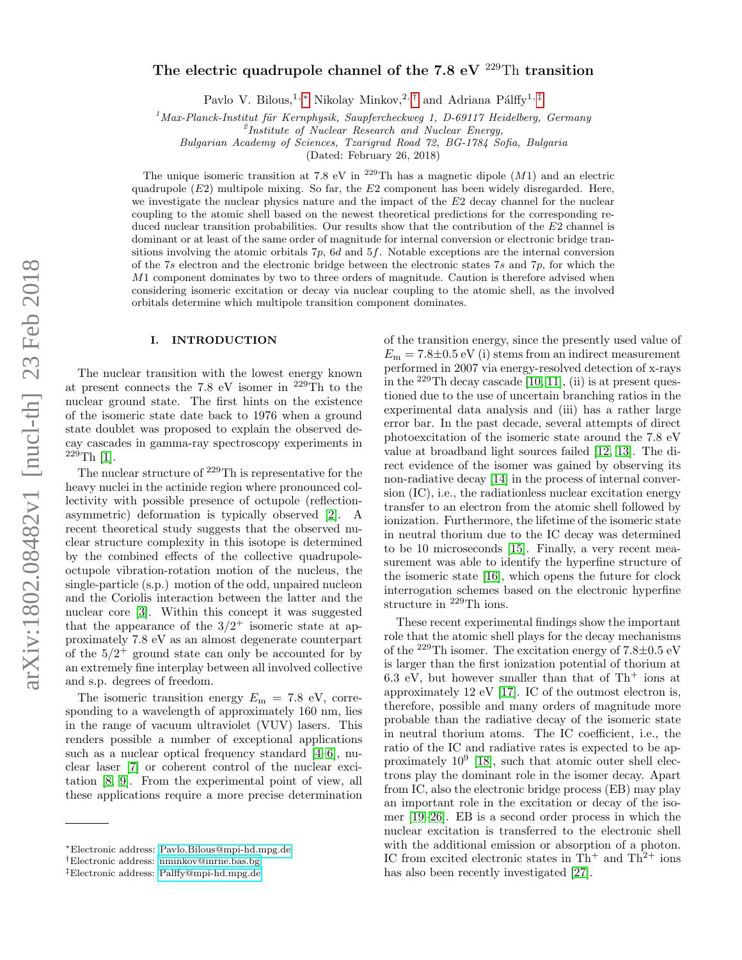# The electric quadrupole channel of the 7.8 eV  $^{229}$ Th transition

Pavlo V. Bilous,<sup>1, \*</sup> Nikolay Minkov,<sup>2,[†](#page-0-1)</sup> and Adriana Pálffy<sup>1,[‡](#page-0-2)</sup>

 $1$ Max-Planck-Institut für Kernphysik, Saupfercheckweg 1, D-69117 Heidelberg, Germany

<sup>2</sup>Institute of Nuclear Research and Nuclear Energy,

Bulgarian Academy of Sciences, Tzarigrad Road 72, BG-1784 Sofia, Bulgaria

(Dated: February 26, 2018)

The unique isomeric transition at 7.8 eV in <sup>229</sup>Th has a magnetic dipole  $(M1)$  and an electric quadrupole  $(E2)$  multipole mixing. So far, the  $E2$  component has been widely disregarded. Here, we investigate the nuclear physics nature and the impact of the  $E2$  decay channel for the nuclear coupling to the atomic shell based on the newest theoretical predictions for the corresponding reduced nuclear transition probabilities. Our results show that the contribution of the E2 channel is dominant or at least of the same order of magnitude for internal conversion or electronic bridge transitions involving the atomic orbitals 7p, 6d and 5f. Notable exceptions are the internal conversion of the 7s electron and the electronic bridge between the electronic states 7s and 7p, for which the M1 component dominates by two to three orders of magnitude. Caution is therefore advised when considering isomeric excitation or decay via nuclear coupling to the atomic shell, as the involved orbitals determine which multipole transition component dominates.

# I. INTRODUCTION

The nuclear transition with the lowest energy known at present connects the 7.8 eV isomer in <sup>229</sup>Th to the nuclear ground state. The first hints on the existence of the isomeric state date back to 1976 when a ground state doublet was proposed to explain the observed decay cascades in gamma-ray spectroscopy experiments in  $229$ Th [\[1\]](#page-6-0).

The nuclear structure of <sup>229</sup>Th is representative for the heavy nuclei in the actinide region where pronounced collectivity with possible presence of octupole (reflectionasymmetric) deformation is typically observed [\[2\]](#page-6-1). A recent theoretical study suggests that the observed nuclear structure complexity in this isotope is determined by the combined effects of the collective quadrupoleoctupole vibration-rotation motion of the nucleus, the single-particle (s.p.) motion of the odd, unpaired nucleon and the Coriolis interaction between the latter and the nuclear core [\[3\]](#page-6-2). Within this concept it was suggested that the appearance of the  $3/2^+$  isomeric state at approximately 7.8 eV as an almost degenerate counterpart of the  $5/2^+$  ground state can only be accounted for by an extremely fine interplay between all involved collective and s.p. degrees of freedom.

The isomeric transition energy  $E_m = 7.8$  eV, corresponding to a wavelength of approximately 160 nm, lies in the range of vacuum ultraviolet (VUV) lasers. This renders possible a number of exceptional applications such as a nuclear optical frequency standard [\[4–](#page-6-3)[6\]](#page-7-0), nuclear laser [\[7\]](#page-7-1) or coherent control of the nuclear excitation [\[8,](#page-7-2) [9\]](#page-7-3). From the experimental point of view, all these applications require a more precise determination of the transition energy, since the presently used value of  $E_m = 7.8 \pm 0.5$  eV (i) stems from an indirect measurement performed in 2007 via energy-resolved detection of x-rays in the  $^{229}$ Th decay cascade [\[10,](#page-7-4) [11\]](#page-7-5), (ii) is at present questioned due to the use of uncertain branching ratios in the experimental data analysis and (iii) has a rather large error bar. In the past decade, several attempts of direct photoexcitation of the isomeric state around the 7.8 eV value at broadband light sources failed [\[12,](#page-7-6) [13\]](#page-7-7). The direct evidence of the isomer was gained by observing its non-radiative decay [\[14\]](#page-7-8) in the process of internal conversion (IC), i.e., the radiationless nuclear excitation energy transfer to an electron from the atomic shell followed by ionization. Furthermore, the lifetime of the isomeric state in neutral thorium due to the IC decay was determined to be 10 microseconds [\[15\]](#page-7-9). Finally, a very recent measurement was able to identify the hyperfine structure of the isomeric state [\[16\]](#page-7-10), which opens the future for clock interrogation schemes based on the electronic hyperfine structure in <sup>229</sup>Th ions.

These recent experimental findings show the important role that the atomic shell plays for the decay mechanisms of the <sup>229</sup>Th isomer. The excitation energy of  $7.8\pm0.5$  eV is larger than the first ionization potential of thorium at 6.3 eV, but however smaller than that of  $Th<sup>+</sup>$  ions at approximately 12 eV [\[17\]](#page-7-11). IC of the outmost electron is, therefore, possible and many orders of magnitude more probable than the radiative decay of the isomeric state in neutral thorium atoms. The IC coefficient, i.e., the ratio of the IC and radiative rates is expected to be approximately  $10^9$  [\[18\]](#page-7-12), such that atomic outer shell electrons play the dominant role in the isomer decay. Apart from IC, also the electronic bridge process (EB) may play an important role in the excitation or decay of the isomer [\[19](#page-7-13)[–26\]](#page-7-14). EB is a second order process in which the nuclear excitation is transferred to the electronic shell with the additional emission or absorption of a photon. IC from excited electronic states in  $Th^+$  and  $Th^{2+}$  ions has also been recently investigated [\[27\]](#page-7-15).

<span id="page-0-0"></span><sup>∗</sup>Electronic address: [Pavlo.Bilous@mpi-hd.mpg.de](mailto:Pavlo.Bilous@mpi-hd.mpg.de)

<span id="page-0-1"></span><sup>†</sup>Electronic address: [nminkov@inrne.bas.bg](mailto:nminkov@inrne.bas.bg)

<span id="page-0-2"></span><sup>‡</sup>Electronic address: [Palffy@mpi-hd.mpg.de](mailto:Palffy@mpi-hd.mpg.de)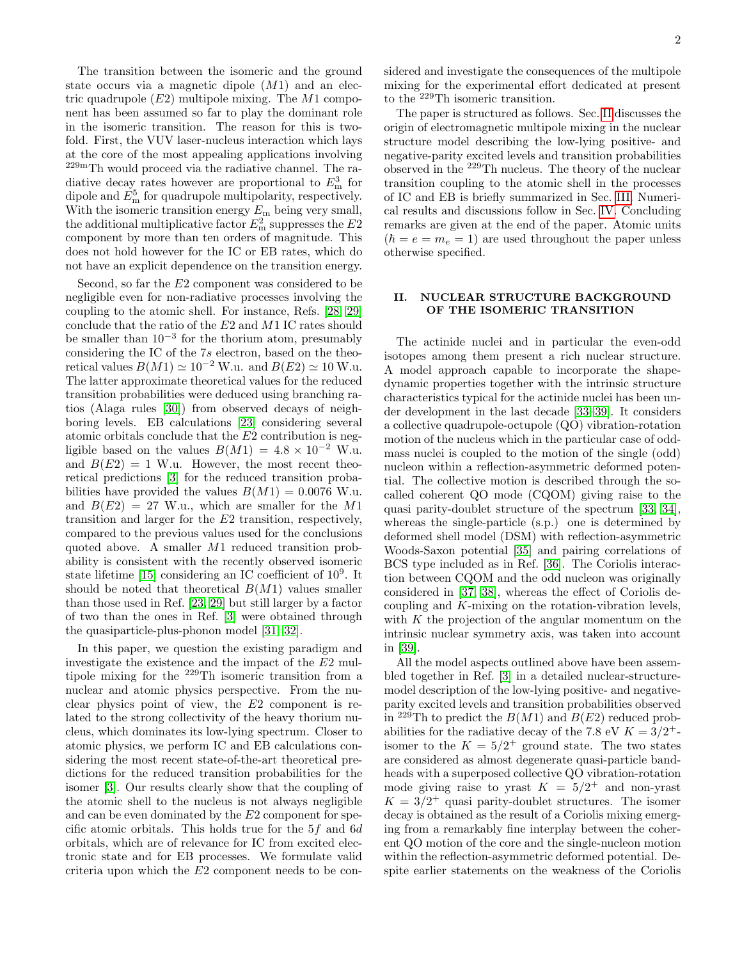The transition between the isomeric and the ground state occurs via a magnetic dipole  $(M1)$  and an electric quadrupole  $(E2)$  multipole mixing. The  $M1$  component has been assumed so far to play the dominant role in the isomeric transition. The reason for this is twofold. First, the VUV laser-nucleus interaction which lays at the core of the most appealing applications involving 229mTh would proceed via the radiative channel. The radiative decay rates however are proportional to  $E_{\rm m}^3$  for dipole and  $E_{\rm m}^5$  for quadrupole multipolarity, respectively. With the isomeric transition energy  $E_{\rm m}$  being very small, the additional multiplicative factor  $E_{\rm m}^2$  suppresses the  $E2$ component by more than ten orders of magnitude. This does not hold however for the IC or EB rates, which do not have an explicit dependence on the transition energy.

Second, so far the E2 component was considered to be negligible even for non-radiative processes involving the coupling to the atomic shell. For instance, Refs. [\[28,](#page-7-16) [29\]](#page-7-17) conclude that the ratio of the E2 and M1 IC rates should be smaller than  $10^{-3}$  for the thorium atom, presumably considering the IC of the 7s electron, based on the theoretical values  $B(M1) \simeq 10^{-2}$  W.u. and  $B(E2) \simeq 10$  W.u. The latter approximate theoretical values for the reduced transition probabilities were deduced using branching ratios (Alaga rules [\[30\]](#page-7-18)) from observed decays of neighboring levels. EB calculations [\[23\]](#page-7-19) considering several atomic orbitals conclude that the  $E2$  contribution is negligible based on the values  $B(M1) = 4.8 \times 10^{-2}$  W.u. and  $B(E2) = 1$  W.u. However, the most recent theoretical predictions [\[3\]](#page-6-2) for the reduced transition probabilities have provided the values  $B(M1) = 0.0076$  W.u. and  $B(E2) = 27$  W.u., which are smaller for the M1 transition and larger for the E2 transition, respectively, compared to the previous values used for the conclusions quoted above. A smaller M1 reduced transition probability is consistent with the recently observed isomeric state lifetime [\[15\]](#page-7-9) considering an IC coefficient of  $10^9$ . It should be noted that theoretical  $B(M1)$  values smaller than those used in Ref. [\[23,](#page-7-19) [29\]](#page-7-17) but still larger by a factor of two than the ones in Ref. [\[3\]](#page-6-2) were obtained through the quasiparticle-plus-phonon model [\[31,](#page-7-20) [32\]](#page-7-21).

In this paper, we question the existing paradigm and investigate the existence and the impact of the E2 multipole mixing for the <sup>229</sup>Th isomeric transition from a nuclear and atomic physics perspective. From the nuclear physics point of view, the E2 component is related to the strong collectivity of the heavy thorium nucleus, which dominates its low-lying spectrum. Closer to atomic physics, we perform IC and EB calculations considering the most recent state-of-the-art theoretical predictions for the reduced transition probabilities for the isomer [\[3\]](#page-6-2). Our results clearly show that the coupling of the atomic shell to the nucleus is not always negligible and can be even dominated by the E2 component for specific atomic orbitals. This holds true for the 5f and 6d orbitals, which are of relevance for IC from excited electronic state and for EB processes. We formulate valid criteria upon which the E2 component needs to be considered and investigate the consequences of the multipole mixing for the experimental effort dedicated at present to the <sup>229</sup>Th isomeric transition.

The paper is structured as follows. Sec. [II](#page-1-0) discusses the origin of electromagnetic multipole mixing in the nuclear structure model describing the low-lying positive- and negative-parity excited levels and transition probabilities observed in the <sup>229</sup>Th nucleus. The theory of the nuclear transition coupling to the atomic shell in the processes of IC and EB is briefly summarized in Sec. [III.](#page-2-0) Numerical results and discussions follow in Sec. [IV.](#page-3-0) Concluding remarks are given at the end of the paper. Atomic units  $(\hbar = e = m_e = 1)$  are used throughout the paper unless otherwise specified.

# <span id="page-1-0"></span>II. NUCLEAR STRUCTURE BACKGROUND OF THE ISOMERIC TRANSITION

The actinide nuclei and in particular the even-odd isotopes among them present a rich nuclear structure. A model approach capable to incorporate the shapedynamic properties together with the intrinsic structure characteristics typical for the actinide nuclei has been under development in the last decade [\[33](#page-7-22)[–39\]](#page-7-23). It considers a collective quadrupole-octupole (QO) vibration-rotation motion of the nucleus which in the particular case of oddmass nuclei is coupled to the motion of the single (odd) nucleon within a reflection-asymmetric deformed potential. The collective motion is described through the socalled coherent QO mode (CQOM) giving raise to the quasi parity-doublet structure of the spectrum [\[33,](#page-7-22) [34\]](#page-7-24), whereas the single-particle (s.p.) one is determined by deformed shell model (DSM) with reflection-asymmetric Woods-Saxon potential [\[35\]](#page-7-25) and pairing correlations of BCS type included as in Ref. [\[36\]](#page-7-26). The Coriolis interaction between CQOM and the odd nucleon was originally considered in [\[37,](#page-7-27) [38\]](#page-7-28), whereas the effect of Coriolis decoupling and K-mixing on the rotation-vibration levels, with  $K$  the projection of the angular momentum on the intrinsic nuclear symmetry axis, was taken into account in [\[39\]](#page-7-23).

All the model aspects outlined above have been assembled together in Ref. [\[3\]](#page-6-2) in a detailed nuclear-structuremodel description of the low-lying positive- and negativeparity excited levels and transition probabilities observed in <sup>229</sup>Th to predict the  $B(M1)$  and  $B(E2)$  reduced probabilities for the radiative decay of the 7.8 eV  $K = 3/2^+$ isomer to the  $K = 5/2^+$  ground state. The two states are considered as almost degenerate quasi-particle bandheads with a superposed collective QO vibration-rotation mode giving raise to yrast  $K = 5/2^+$  and non-yrast  $K = 3/2^+$  quasi parity-doublet structures. The isomer decay is obtained as the result of a Coriolis mixing emerging from a remarkably fine interplay between the coherent QO motion of the core and the single-nucleon motion within the reflection-asymmetric deformed potential. Despite earlier statements on the weakness of the Coriolis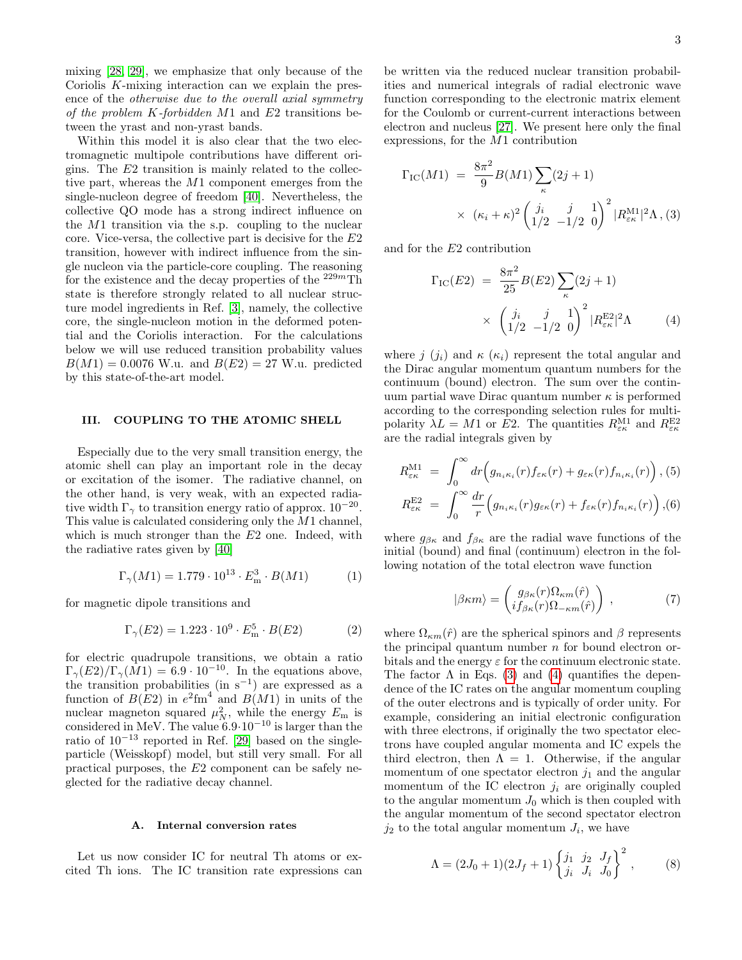mixing [\[28,](#page-7-16) [29\]](#page-7-17), we emphasize that only because of the Coriolis K-mixing interaction can we explain the presence of the otherwise due to the overall axial symmetry of the problem  $K$ -forbidden  $M1$  and  $E2$  transitions between the yrast and non-yrast bands.

Within this model it is also clear that the two electromagnetic multipole contributions have different origins. The E2 transition is mainly related to the collective part, whereas the M1 component emerges from the single-nucleon degree of freedom [\[40\]](#page-7-29). Nevertheless, the collective QO mode has a strong indirect influence on the M1 transition via the s.p. coupling to the nuclear core. Vice-versa, the collective part is decisive for the E2 transition, however with indirect influence from the single nucleon via the particle-core coupling. The reasoning for the existence and the decay properties of the  $229m$ Th state is therefore strongly related to all nuclear structure model ingredients in Ref. [\[3\]](#page-6-2), namely, the collective core, the single-nucleon motion in the deformed potential and the Coriolis interaction. For the calculations below we will use reduced transition probability values  $B(M1) = 0.0076$  W.u. and  $B(E2) = 27$  W.u. predicted by this state-of-the-art model.

### <span id="page-2-0"></span>III. COUPLING TO THE ATOMIC SHELL

Especially due to the very small transition energy, the atomic shell can play an important role in the decay or excitation of the isomer. The radiative channel, on the other hand, is very weak, with an expected radiative width  $\Gamma_{\gamma}$  to transition energy ratio of approx. 10<sup>-20</sup>. This value is calculated considering only the M1 channel, which is much stronger than the  $E2$  one. Indeed, with the radiative rates given by [\[40\]](#page-7-29)

$$
\Gamma_{\gamma}(M1) = 1.779 \cdot 10^{13} \cdot E_{\rm m}^{3} \cdot B(M1) \tag{1}
$$

for magnetic dipole transitions and

$$
\Gamma_{\gamma}(E2) = 1.223 \cdot 10^9 \cdot E_{\rm m}^5 \cdot B(E2)
$$
 (2)

for electric quadrupole transitions, we obtain a ratio  $\Gamma_{\gamma}(E2)/\Gamma_{\gamma}(M1) = 6.9 \cdot 10^{-10}$ . In the equations above, the transition probabilities (in  $s^{-1}$ ) are expressed as a function of  $B(E2)$  in  $e^2$ fm<sup>4</sup> and  $B(M1)$  in units of the nuclear magneton squared  $\mu_N^2$ , while the energy  $E_m$  is considered in MeV. The value  $6.9 \cdot 10^{-10}$  is larger than the ratio of 10<sup>−</sup><sup>13</sup> reported in Ref. [\[29\]](#page-7-17) based on the singleparticle (Weisskopf) model, but still very small. For all practical purposes, the E2 component can be safely neglected for the radiative decay channel.

# A. Internal conversion rates

Let us now consider IC for neutral Th atoms or excited Th ions. The IC transition rate expressions can

be written via the reduced nuclear transition probabilities and numerical integrals of radial electronic wave function corresponding to the electronic matrix element for the Coulomb or current-current interactions between electron and nucleus [\[27\]](#page-7-15). We present here only the final expressions, for the M1 contribution

<span id="page-2-1"></span>
$$
\Gamma_{\rm IC}(M1) = \frac{8\pi^2}{9} B(M1) \sum_{\kappa} (2j+1) \times (\kappa_i + \kappa)^2 \left(\begin{array}{cc} j_i & j & 1\\ 1/2 & -1/2 & 0 \end{array}\right)^2 |R_{\varepsilon\kappa}^{\rm M1}|^2 \Lambda, (3)
$$

and for the E2 contribution

<span id="page-2-2"></span>
$$
\Gamma_{\rm IC}(E2) = \frac{8\pi^2}{25} B(E2) \sum_{\kappa} (2j+1) \times \left(\frac{j_i}{1/2} - \frac{j}{-1/2} \frac{1}{0}\right)^2 |R_{\varepsilon\kappa}^{\rm E2}|^2 \Lambda
$$
 (4)

where j  $(j_i)$  and  $\kappa$  ( $\kappa_i$ ) represent the total angular and the Dirac angular momentum quantum numbers for the continuum (bound) electron. The sum over the continuum partial wave Dirac quantum number  $\kappa$  is performed according to the corresponding selection rules for multipolarity  $\lambda L = M1$  or E2. The quantities  $R_{\varepsilon\kappa}^{\text{M1}}$  and  $R_{\varepsilon\kappa}^{\text{E2}}$ are the radial integrals given by

$$
R_{\varepsilon\kappa}^{\text{M1}} = \int_0^\infty dr \Big( g_{n_i\kappa_i}(r) f_{\varepsilon\kappa}(r) + g_{\varepsilon\kappa}(r) f_{n_i\kappa_i}(r) \Big), (5)
$$
  

$$
R_{\varepsilon\kappa}^{\text{E2}} = \int_0^\infty \frac{dr}{r} \Big( g_{n_i\kappa_i}(r) g_{\varepsilon\kappa}(r) + f_{\varepsilon\kappa}(r) f_{n_i\kappa_i}(r) \Big), (6)
$$

where  $g_{\beta\kappa}$  and  $f_{\beta\kappa}$  are the radial wave functions of the initial (bound) and final (continuum) electron in the following notation of the total electron wave function

$$
|\beta \kappa m\rangle = \begin{pmatrix} g_{\beta \kappa}(r) \Omega_{\kappa m}(\hat{r}) \\ i f_{\beta \kappa}(r) \Omega_{-\kappa m}(\hat{r}) \end{pmatrix} , \qquad (7)
$$

where  $\Omega_{\kappa m}(\hat{r})$  are the spherical spinors and  $\beta$  represents the principal quantum number  $n$  for bound electron orbitals and the energy  $\varepsilon$  for the continuum electronic state. The factor  $\Lambda$  in Eqs. [\(3\)](#page-2-1) and [\(4\)](#page-2-2) quantifies the dependence of the IC rates on the angular momentum coupling of the outer electrons and is typically of order unity. For example, considering an initial electronic configuration with three electrons, if originally the two spectator electrons have coupled angular momenta and IC expels the third electron, then  $\Lambda = 1$ . Otherwise, if the angular momentum of one spectator electron  $j_1$  and the angular momentum of the IC electron  $j_i$  are originally coupled to the angular momentum  $J_0$  which is then coupled with the angular momentum of the second spectator electron  $j_2$  to the total angular momentum  $J_i$ , we have

$$
\Lambda = (2J_0 + 1)(2J_f + 1)\begin{cases} j_1 & j_2 & J_f \\ j_i & J_i & J_0 \end{cases}^2, \quad (8)
$$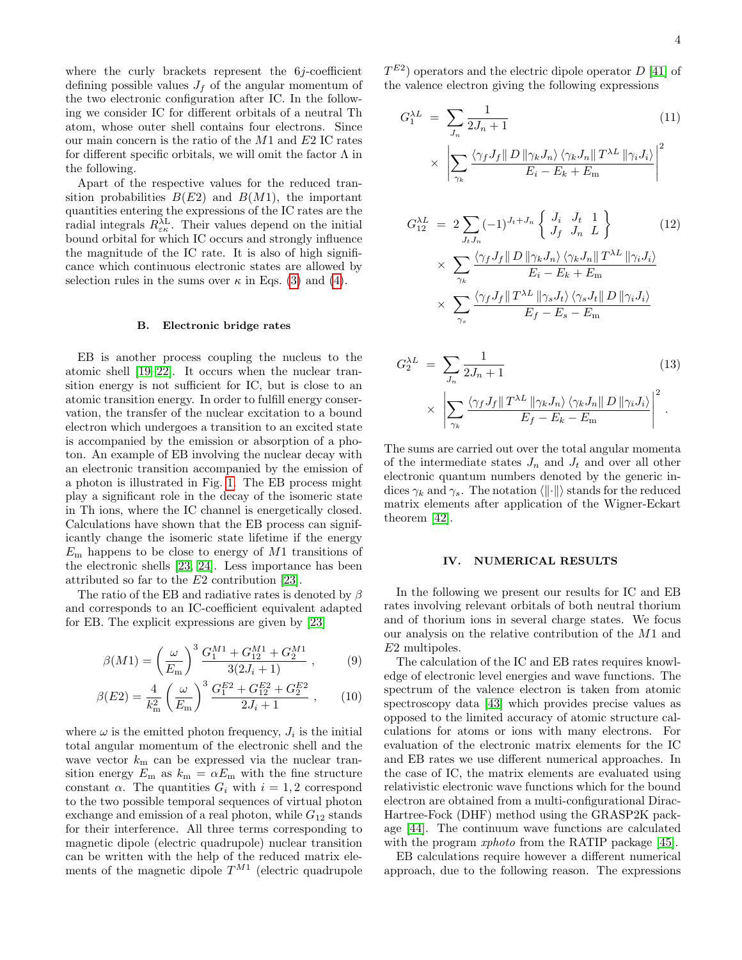where the curly brackets represent the  $6j$ -coefficient defining possible values  $J_f$  of the angular momentum of the two electronic configuration after IC. In the following we consider IC for different orbitals of a neutral Th atom, whose outer shell contains four electrons. Since our main concern is the ratio of the M1 and E2 IC rates for different specific orbitals, we will omit the factor  $\Lambda$  in the following.

Apart of the respective values for the reduced transition probabilities  $B(E2)$  and  $B(M1)$ , the important quantities entering the expressions of the IC rates are the radial integrals  $R_{\varepsilon\kappa}^{\lambda\text{L}}$ . Their values depend on the initial bound orbital for which IC occurs and strongly influence the magnitude of the IC rate. It is also of high significance which continuous electronic states are allowed by selection rules in the sums over  $\kappa$  in Eqs. [\(3\)](#page-2-1) and [\(4\)](#page-2-2).

#### B. Electronic bridge rates

EB is another process coupling the nucleus to the atomic shell [\[19](#page-7-13)[–22\]](#page-7-30). It occurs when the nuclear transition energy is not sufficient for IC, but is close to an atomic transition energy. In order to fulfill energy conservation, the transfer of the nuclear excitation to a bound electron which undergoes a transition to an excited state is accompanied by the emission or absorption of a photon. An example of EB involving the nuclear decay with an electronic transition accompanied by the emission of a photon is illustrated in Fig. [1.](#page-4-0) The EB process might play a significant role in the decay of the isomeric state in Th ions, where the IC channel is energetically closed. Calculations have shown that the EB process can significantly change the isomeric state lifetime if the energy  $E_{\rm m}$  happens to be close to energy of  $M1$  transitions of the electronic shells [\[23,](#page-7-19) [24\]](#page-7-31). Less importance has been attributed so far to the E2 contribution [\[23\]](#page-7-19).

The ratio of the EB and radiative rates is denoted by  $\beta$ and corresponds to an IC-coefficient equivalent adapted for EB. The explicit expressions are given by [\[23\]](#page-7-19)

<span id="page-3-3"></span>
$$
\beta(M1) = \left(\frac{\omega}{E_{\rm m}}\right)^3 \frac{G_1^{M1} + G_{12}^{M1} + G_2^{M1}}{3(2J_i + 1)},\tag{9}
$$

$$
\beta(E2) = \frac{4}{k_{\rm m}^2} \left(\frac{\omega}{E_{\rm m}}\right)^3 \frac{G_1^{E2} + G_{12}^{E2} + G_2^{E2}}{2J_i + 1} ,\qquad(10)
$$

where  $\omega$  is the emitted photon frequency,  $J_i$  is the initial total angular momentum of the electronic shell and the wave vector  $k<sub>m</sub>$  can be expressed via the nuclear transition energy  $E_m$  as  $k_m = \alpha E_m$  with the fine structure constant  $\alpha$ . The quantities  $G_i$  with  $i = 1, 2$  correspond to the two possible temporal sequences of virtual photon exchange and emission of a real photon, while  $G_{12}$  stands for their interference. All three terms corresponding to magnetic dipole (electric quadrupole) nuclear transition can be written with the help of the reduced matrix elements of the magnetic dipole  $T^{M1}$  (electric quadrupole

 $T^{E2}$ ) operators and the electric dipole operator D [\[41\]](#page-7-32) of the valence electron giving the following expressions

<span id="page-3-1"></span>
$$
G_1^{\lambda L} = \sum_{J_n} \frac{1}{2J_n + 1}
$$
(11)  

$$
\times \left| \sum_{\gamma_k} \frac{\langle \gamma_f J_f || D || \gamma_k J_n \rangle \langle \gamma_k J_n || T^{\lambda L} || \gamma_i J_i \rangle}{E_i - E_k + E_m} \right|^2
$$

$$
G_{12}^{\lambda L} = 2 \sum_{J_t J_n} (-1)^{J_t + J_n} \left\{ \frac{J_i}{J_f} \frac{J_t}{J_n} \frac{1}{L} \right\} \qquad (12)
$$

$$
\times \sum_{\gamma_k} \frac{\langle \gamma_f J_f || D || \gamma_k J_n \rangle \langle \gamma_k J_n || T^{\lambda L} || \gamma_i J_i \rangle}{E_i - E_k + E_m}
$$

$$
\times \sum_{\gamma_s} \frac{\langle \gamma_f J_f || T^{\lambda L} || \gamma_s J_t \rangle \langle \gamma_s J_t || D || \gamma_i J_i \rangle}{E_f - E_s - E_m}
$$

<span id="page-3-2"></span>
$$
G_2^{\lambda L} = \sum_{J_n} \frac{1}{2J_n + 1}
$$
(13)  

$$
\times \left| \sum_{\gamma_k} \frac{\langle \gamma_f J_f \| T^{\lambda L} \| \gamma_k J_n \rangle \langle \gamma_k J_n \| D \| \gamma_i J_i \rangle}{E_f - E_k - E_m} \right|^2.
$$

The sums are carried out over the total angular momenta of the intermediate states  $J_n$  and  $J_t$  and over all other electronic quantum numbers denoted by the generic indices  $\gamma_k$  and  $\gamma_s$ . The notation  $\langle \|\cdot\|\rangle$  stands for the reduced matrix elements after application of the Wigner-Eckart theorem [\[42\]](#page-7-33).

# <span id="page-3-0"></span>IV. NUMERICAL RESULTS

In the following we present our results for IC and EB rates involving relevant orbitals of both neutral thorium and of thorium ions in several charge states. We focus our analysis on the relative contribution of the M1 and E2 multipoles.

The calculation of the IC and EB rates requires knowledge of electronic level energies and wave functions. The spectrum of the valence electron is taken from atomic spectroscopy data [\[43\]](#page-7-34) which provides precise values as opposed to the limited accuracy of atomic structure calculations for atoms or ions with many electrons. For evaluation of the electronic matrix elements for the IC and EB rates we use different numerical approaches. In the case of IC, the matrix elements are evaluated using relativistic electronic wave functions which for the bound electron are obtained from a multi-configurational Dirac-Hartree-Fock (DHF) method using the GRASP2K package [\[44\]](#page-7-35). The continuum wave functions are calculated with the program *xphoto* from the RATIP package [\[45\]](#page-8-0).

EB calculations require however a different numerical approach, due to the following reason. The expressions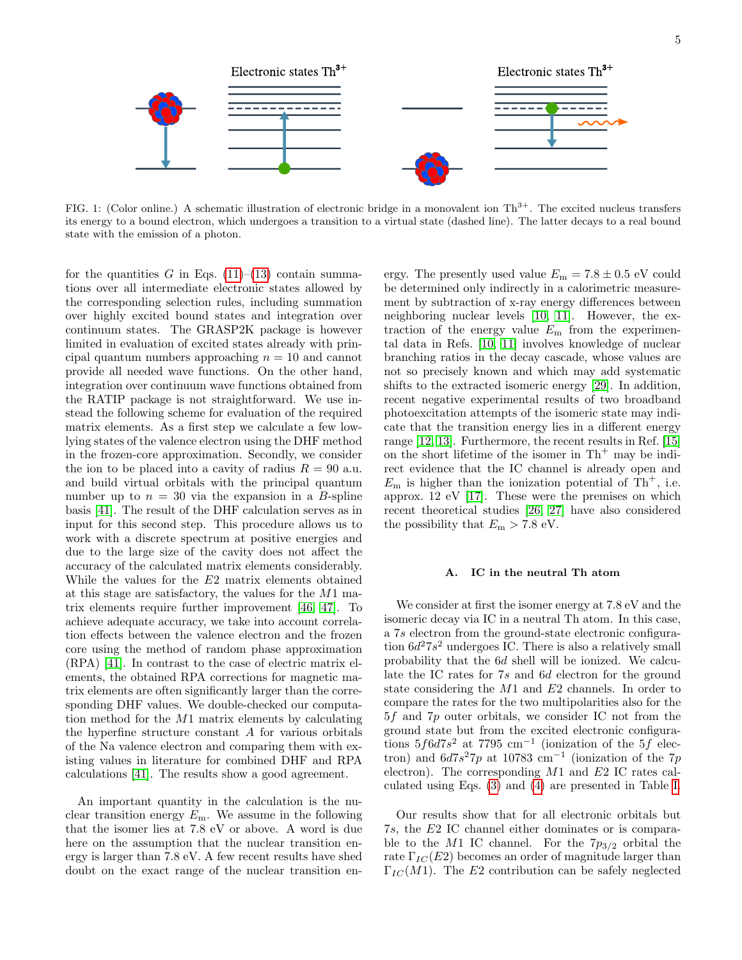

<span id="page-4-0"></span>FIG. 1: (Color online.) A schematic illustration of electronic bridge in a monovalent ion  $Th^{3+}$ . The excited nucleus transfers its energy to a bound electron, which undergoes a transition to a virtual state (dashed line). The latter decays to a real bound state with the emission of a photon.

for the quantities G in Eqs.  $(11)$ – $(13)$  contain summations over all intermediate electronic states allowed by the corresponding selection rules, including summation over highly excited bound states and integration over continuum states. The GRASP2K package is however limited in evaluation of excited states already with principal quantum numbers approaching  $n = 10$  and cannot provide all needed wave functions. On the other hand, integration over continuum wave functions obtained from the RATIP package is not straightforward. We use instead the following scheme for evaluation of the required matrix elements. As a first step we calculate a few lowlying states of the valence electron using the DHF method in the frozen-core approximation. Secondly, we consider the ion to be placed into a cavity of radius  $R = 90$  a.u. and build virtual orbitals with the principal quantum number up to  $n = 30$  via the expansion in a B-spline basis [\[41\]](#page-7-32). The result of the DHF calculation serves as in input for this second step. This procedure allows us to work with a discrete spectrum at positive energies and due to the large size of the cavity does not affect the accuracy of the calculated matrix elements considerably. While the values for the E2 matrix elements obtained at this stage are satisfactory, the values for the M1 matrix elements require further improvement [\[46,](#page-8-1) [47\]](#page-8-2). To achieve adequate accuracy, we take into account correlation effects between the valence electron and the frozen core using the method of random phase approximation (RPA) [\[41\]](#page-7-32). In contrast to the case of electric matrix elements, the obtained RPA corrections for magnetic matrix elements are often significantly larger than the corresponding DHF values. We double-checked our computation method for the M1 matrix elements by calculating the hyperfine structure constant A for various orbitals of the Na valence electron and comparing them with existing values in literature for combined DHF and RPA calculations [\[41\]](#page-7-32). The results show a good agreement.

An important quantity in the calculation is the nuclear transition energy  $E_{\rm m}$ . We assume in the following that the isomer lies at 7.8 eV or above. A word is due here on the assumption that the nuclear transition energy is larger than 7.8 eV. A few recent results have shed doubt on the exact range of the nuclear transition en-

ergy. The presently used value  $E_m = 7.8 \pm 0.5$  eV could be determined only indirectly in a calorimetric measurement by subtraction of x-ray energy differences between neighboring nuclear levels [\[10,](#page-7-4) [11\]](#page-7-5). However, the extraction of the energy value  $E_{\rm m}$  from the experimental data in Refs. [\[10,](#page-7-4) [11\]](#page-7-5) involves knowledge of nuclear branching ratios in the decay cascade, whose values are not so precisely known and which may add systematic shifts to the extracted isomeric energy [\[29\]](#page-7-17). In addition, recent negative experimental results of two broadband photoexcitation attempts of the isomeric state may indicate that the transition energy lies in a different energy range [\[12,](#page-7-6) [13\]](#page-7-7). Furthermore, the recent results in Ref. [\[15\]](#page-7-9) on the short lifetime of the isomer in  $Th^+$  may be indirect evidence that the IC channel is already open and  $E_{\rm m}$  is higher than the ionization potential of Th<sup>+</sup>, i.e. approx. 12 eV [\[17\]](#page-7-11). These were the premises on which recent theoretical studies [\[26,](#page-7-14) [27\]](#page-7-15) have also considered the possibility that  $E_m > 7.8$  eV.

### A. IC in the neutral Th atom

We consider at first the isomer energy at 7.8 eV and the isomeric decay via IC in a neutral Th atom. In this case, a 7s electron from the ground-state electronic configuration  $6d^27s^2$  undergoes IC. There is also a relatively small probability that the 6d shell will be ionized. We calculate the IC rates for 7s and 6d electron for the ground state considering the M1 and E2 channels. In order to compare the rates for the two multipolarities also for the 5f and 7p outer orbitals, we consider IC not from the ground state but from the excited electronic configurations  $5f6d7s^2$  at 7795 cm<sup>-1</sup> (ionization of the 5f electron) and  $6d7s^27p$  at 10783 cm<sup>-1</sup> (ionization of the 7p electron). The corresponding  $M1$  and  $E2$  IC rates calculated using Eqs. [\(3\)](#page-2-1) and [\(4\)](#page-2-2) are presented in Table [I.](#page-5-0)

Our results show that for all electronic orbitals but 7s, the E2 IC channel either dominates or is comparable to the M1 IC channel. For the  $7p_{3/2}$  orbital the rate  $\Gamma_{IC}(E2)$  becomes an order of magnitude larger than  $\Gamma_{IC}(M1)$ . The E2 contribution can be safely neglected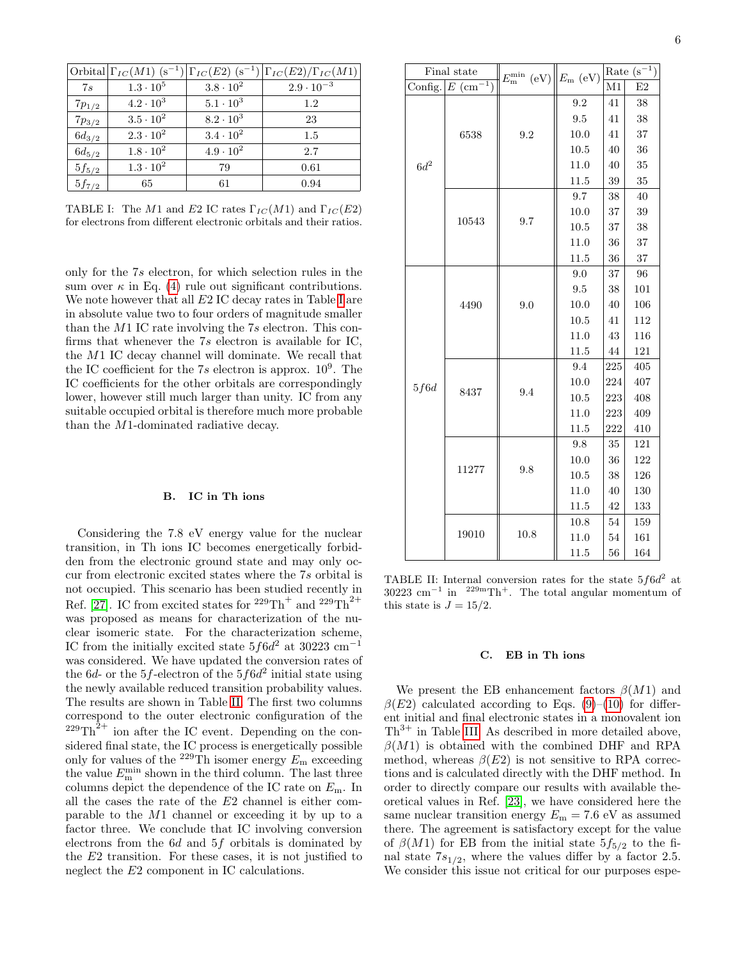|            |                    |                    | Orbital $\Gamma_{IC}(M1)$ (s <sup>-1</sup> ) $\Gamma_{IC}(E2)$ (s <sup>-1</sup> ) $\Gamma_{IC}(E2)/\Gamma_{IC}(M1)$ |
|------------|--------------------|--------------------|---------------------------------------------------------------------------------------------------------------------|
| 7s         | $1.3 \cdot 10^{5}$ | $3.8 \cdot 10^{2}$ | $2.9 \cdot 10^{-3}$                                                                                                 |
| $7p_{1/2}$ | $4.2 \cdot 10^3$   | $5.1 \cdot 10^{3}$ | 1.2                                                                                                                 |
| $7p_{3/2}$ | $3.5 \cdot 10^{2}$ | $8.2 \cdot 10^{3}$ | 23                                                                                                                  |
| $6d_{3/2}$ | $2.3 \cdot 10^{2}$ | $3.4 \cdot 10^{2}$ | 1.5                                                                                                                 |
| $6d_{5/2}$ | $1.8 \cdot 10^{2}$ | $4.9 \cdot 10^{2}$ | 2.7                                                                                                                 |
| $5f_{5/2}$ | $1.3 \cdot 10^{2}$ | 79                 | 0.61                                                                                                                |
| $5f_{7/2}$ | 65                 | 61                 | 0.94                                                                                                                |

<span id="page-5-0"></span>TABLE I: The M1 and E2 IC rates  $\Gamma_{IC}(M1)$  and  $\Gamma_{IC}(E2)$ for electrons from different electronic orbitals and their ratios.

only for the 7s electron, for which selection rules in the sum over  $\kappa$  in Eq. [\(4\)](#page-2-2) rule out significant contributions. We note however that all  $E2$  [I](#page-5-0)C decay rates in Table I are in absolute value two to four orders of magnitude smaller than the M1 IC rate involving the 7s electron. This confirms that whenever the 7s electron is available for IC, the M1 IC decay channel will dominate. We recall that the IC coefficient for the  $7s$  electron is approx.  $10^9$ . The IC coefficients for the other orbitals are correspondingly lower, however still much larger than unity. IC from any suitable occupied orbital is therefore much more probable than the M1-dominated radiative decay.

#### B. IC in Th ions

Considering the 7.8 eV energy value for the nuclear transition, in Th ions IC becomes energetically forbidden from the electronic ground state and may only occur from electronic excited states where the 7s orbital is not occupied. This scenario has been studied recently in Ref. [\[27\]](#page-7-15). IC from excited states for  $2^{29} \text{Th}^+$  and  $2^{29} \text{Th}^{2+}$ was proposed as means for characterization of the nuclear isomeric state. For the characterization scheme, IC from the initially excited state  $5f6d^2$  at 30223 cm<sup>-1</sup> was considered. We have updated the conversion rates of the 6*d*- or the 5*f*-electron of the  $5f6d^2$  initial state using the newly available reduced transition probability values. The results are shown in Table [II.](#page-5-1) The first two columns correspond to the outer electronic configuration of the  ${}^{229}\text{Th}^{\hat{2}+}$  ion after the IC event. Depending on the considered final state, the IC process is energetically possible only for values of the <sup>229</sup>Th isomer energy  $E_{\rm m}$  exceeding the value  $E_{\rm m}^{\rm min}$  shown in the third column. The last three columns depict the dependence of the IC rate on  $E_m$ . In all the cases the rate of the E2 channel is either comparable to the M1 channel or exceeding it by up to a factor three. We conclude that IC involving conversion electrons from the 6d and 5f orbitals is dominated by the E2 transition. For these cases, it is not justified to neglect the E2 component in IC calculations.

|                  | Final state | $E_{\rm m}^{\rm min}$ (eV) $  E_{\rm m}$ (eV) |      |     | Rate $(\mathrm{s}^{-1})$ |  |
|------------------|-------------|-----------------------------------------------|------|-----|--------------------------|--|
| Config. $E$ (cm) |             |                                               |      | M1  | E2                       |  |
|                  | 6538        | 9.2                                           | 9.2  | 41  | 38                       |  |
|                  |             |                                               | 9.5  | 41  | 38                       |  |
|                  |             |                                               | 10.0 | 41  | 37                       |  |
|                  |             |                                               | 10.5 | 40  | 36                       |  |
| $6d^2$           |             |                                               | 11.0 | 40  | 35                       |  |
|                  |             |                                               | 11.5 | 39  | 35                       |  |
|                  | 10543       | 9.7                                           | 9.7  | 38  | 40                       |  |
|                  |             |                                               | 10.0 | 37  | 39                       |  |
|                  |             |                                               | 10.5 | 37  | 38                       |  |
|                  |             |                                               | 11.0 | 36  | 37                       |  |
|                  |             |                                               | 11.5 | 36  | 37                       |  |
|                  | 4490        | 9.0                                           | 9.0  | 37  | 96                       |  |
|                  |             |                                               | 9.5  | 38  | 101                      |  |
|                  |             |                                               | 10.0 | 40  | 106                      |  |
|                  |             |                                               | 10.5 | 41  | 112                      |  |
|                  |             |                                               | 11.0 | 43  | 116                      |  |
|                  |             |                                               | 11.5 | 44  | 121                      |  |
|                  | 8437        | 9.4                                           | 9.4  | 225 | 405                      |  |
| 5f6d             |             |                                               | 10.0 | 224 | 407                      |  |
|                  |             |                                               | 10.5 | 223 | 408                      |  |
|                  |             |                                               | 11.0 | 223 | 409                      |  |
|                  |             |                                               | 11.5 | 222 | 410                      |  |
|                  | 11277       | 9.8                                           | 9.8  | 35  | 121                      |  |
|                  |             |                                               | 10.0 | 36  | 122                      |  |
|                  |             |                                               | 10.5 | 38  | 126                      |  |
|                  |             |                                               | 11.0 | 40  | 130                      |  |
|                  |             |                                               | 11.5 | 42  | 133                      |  |
|                  | 19010       | 10.8                                          | 10.8 | 54  | 159                      |  |
|                  |             |                                               | 11.0 | 54  | 161                      |  |
|                  |             |                                               | 11.5 | 56  | 164                      |  |

<span id="page-5-1"></span>TABLE II: Internal conversion rates for the state  $5f6d^2$  at  $30223 \text{ cm}^{-1}$  in  $229 \text{m} \text{Th}^+$ . The total angular momentum of this state is  $J = 15/2$ .

#### C. EB in Th ions

We present the EB enhancement factors  $\beta(M1)$  and  $\beta(E2)$  calculated according to Eqs. [\(9\)](#page-3-3)–[\(10\)](#page-3-3) for different initial and final electronic states in a monovalent ion  $Th<sup>3+</sup>$  in Table [III.](#page-6-4) As described in more detailed above,  $\beta(M1)$  is obtained with the combined DHF and RPA method, whereas  $\beta(E2)$  is not sensitive to RPA corrections and is calculated directly with the DHF method. In order to directly compare our results with available theoretical values in Ref. [\[23\]](#page-7-19), we have considered here the same nuclear transition energy  $E_m = 7.6$  eV as assumed there. The agreement is satisfactory except for the value of  $\beta(M1)$  for EB from the initial state  $5f_{5/2}$  to the final state  $7s_{1/2}$ , where the values differ by a factor 2.5. We consider this issue not critical for our purposes espe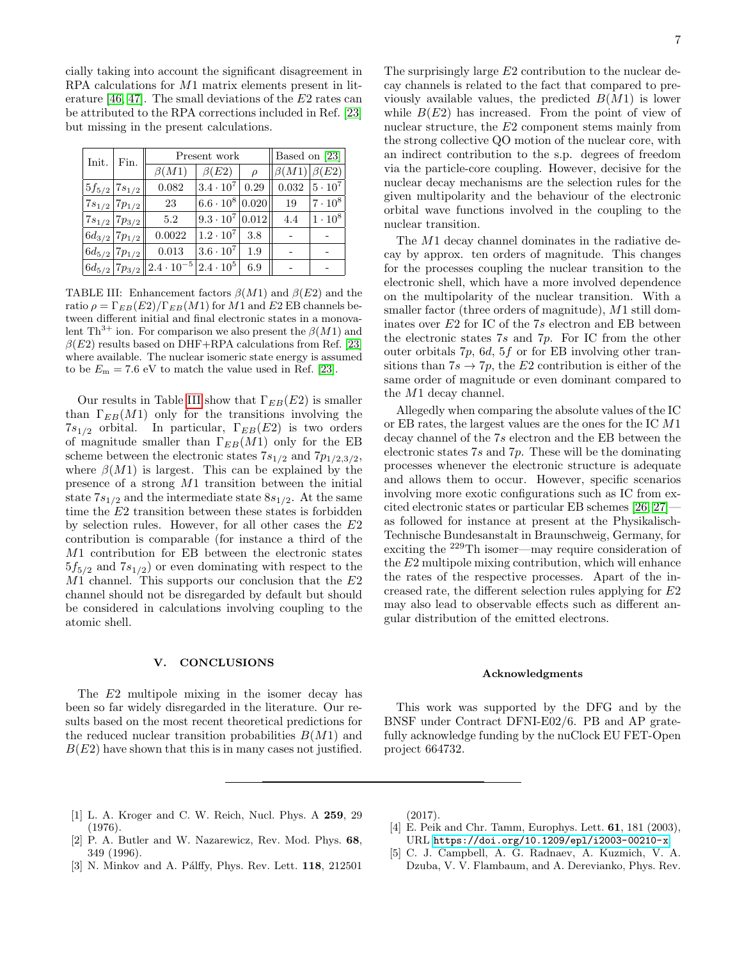cially taking into account the significant disagreement in RPA calculations for M1 matrix elements present in lit-erature [\[46,](#page-8-1) [47\]](#page-8-2). The small deviations of the  $E2$  rates can be attributed to the RPA corrections included in Ref. [\[23\]](#page-7-19) but missing in the present calculations.

| Init. | Fin.                   | Present work                                                    |                                 |        | Based on [23]                     |                           |  |  |
|-------|------------------------|-----------------------------------------------------------------|---------------------------------|--------|-----------------------------------|---------------------------|--|--|
|       |                        | $\beta(M1)$                                                     | $\beta(E2)$                     | $\rho$ | $\left \beta(M1)\right \beta(E2)$ |                           |  |  |
|       | $5f_{5/2} 7s_{1/2} $   | 0.082                                                           | $ 3.4 \cdot 10^7 $              | 0.29   |                                   | $0.032 \,   5 \cdot 10^7$ |  |  |
|       | $ 7s_{1/2} 7p_{1/2} $  | 23                                                              | $6.6 \cdot 10^8 \, \vert 0.020$ |        | 19                                | $7 \cdot 10^8$            |  |  |
|       | $7s_{1/2}$ $7p_{3/2}$  | 5.2                                                             | $9.3 \cdot 10^7  0.012 $        |        | 4.4                               | $1 \cdot 10^8$            |  |  |
|       | $6d_{3/2}$ 7 $p_{1/2}$ | 0.0022                                                          | $ 1.2 \cdot 10^7 $              | 3.8    |                                   |                           |  |  |
|       | $6d_{5/2}$ 7 $p_{1/2}$ | 0.013                                                           | $3.6 \cdot 10^7$                | 1.9    |                                   |                           |  |  |
|       |                        | $\ 6d_{5/2}\ 7p_{3/2}\ 2.4\cdot10^{-5}\big 2.4\cdot10^{5}\big $ |                                 | 6.9    |                                   |                           |  |  |

<span id="page-6-4"></span>TABLE III: Enhancement factors  $\beta(M1)$  and  $\beta(E2)$  and the ratio  $\rho = \Gamma_{EB}(E2)/\Gamma_{EB}(M1)$  for M1 and E2 EB channels between different initial and final electronic states in a monovalent Th<sup>3+</sup> ion. For comparison we also present the  $\beta(M1)$  and  $\beta(E2)$  results based on DHF+RPA calculations from Ref. [\[23\]](#page-7-19) where available. The nuclear isomeric state energy is assumed to be  $E_m = 7.6$  eV to match the value used in Ref. [\[23\]](#page-7-19).

Our results in Table [III](#page-6-4) show that  $\Gamma_{EB}(E2)$  is smaller than  $\Gamma_{EB}(M1)$  only for the transitions involving the  $7s_{1/2}$  orbital. In particular,  $\Gamma_{EB}(E2)$  is two orders of magnitude smaller than  $\Gamma_{EB}(M1)$  only for the EB scheme between the electronic states  $7s_{1/2}$  and  $7p_{1/2,3/2}$ , where  $\beta(M1)$  is largest. This can be explained by the presence of a strong M1 transition between the initial state  $7s_{1/2}$  and the intermediate state  $8s_{1/2}$ . At the same time the E2 transition between these states is forbidden by selection rules. However, for all other cases the E2 contribution is comparable (for instance a third of the M1 contribution for EB between the electronic states  $5f_{5/2}$  and  $7s_{1/2}$ ) or even dominating with respect to the  $M_1$  channel. This supports our conclusion that the  $E_2$ channel should not be disregarded by default but should be considered in calculations involving coupling to the atomic shell.

### V. CONCLUSIONS

The E2 multipole mixing in the isomer decay has been so far widely disregarded in the literature. Our results based on the most recent theoretical predictions for the reduced nuclear transition probabilities  $B(M1)$  and  $B(E2)$  have shown that this is in many cases not justified.

The surprisingly large E2 contribution to the nuclear decay channels is related to the fact that compared to previously available values, the predicted  $B(M1)$  is lower while  $B(E2)$  has increased. From the point of view of nuclear structure, the E2 component stems mainly from the strong collective QO motion of the nuclear core, with an indirect contribution to the s.p. degrees of freedom via the particle-core coupling. However, decisive for the nuclear decay mechanisms are the selection rules for the given multipolarity and the behaviour of the electronic orbital wave functions involved in the coupling to the nuclear transition.

The M1 decay channel dominates in the radiative decay by approx. ten orders of magnitude. This changes for the processes coupling the nuclear transition to the electronic shell, which have a more involved dependence on the multipolarity of the nuclear transition. With a smaller factor (three orders of magnitude), M1 still dominates over  $E2$  for IC of the 7s electron and EB between the electronic states 7s and 7p. For IC from the other outer orbitals 7p, 6d, 5f or for EB involving other transitions than  $7s \rightarrow 7p$ , the E2 contribution is either of the same order of magnitude or even dominant compared to the M1 decay channel.

Allegedly when comparing the absolute values of the IC or EB rates, the largest values are the ones for the IC M1 decay channel of the 7s electron and the EB between the electronic states 7s and 7p. These will be the dominating processes whenever the electronic structure is adequate and allows them to occur. However, specific scenarios involving more exotic configurations such as IC from excited electronic states or particular EB schemes [\[26,](#page-7-14) [27\]](#page-7-15) as followed for instance at present at the Physikalisch-Technische Bundesanstalt in Braunschweig, Germany, for exciting the <sup>229</sup>Th isomer—may require consideration of the E2 multipole mixing contribution, which will enhance the rates of the respective processes. Apart of the increased rate, the different selection rules applying for E2 may also lead to observable effects such as different angular distribution of the emitted electrons.

#### Acknowledgments

This work was supported by the DFG and by the BNSF under Contract DFNI-E02/6. PB and AP gratefully acknowledge funding by the nuClock EU FET-Open project 664732.

- <span id="page-6-0"></span>[1] L. A. Kroger and C. W. Reich, Nucl. Phys. A 259, 29 (1976).
- <span id="page-6-1"></span>[2] P. A. Butler and W. Nazarewicz, Rev. Mod. Phys. 68, 349 (1996).
- <span id="page-6-2"></span>[3] N. Minkov and A. Pálffy, Phys. Rev. Lett. 118, 212501

(2017).

- <span id="page-6-3"></span>[4] E. Peik and Chr. Tamm, Europhys. Lett. 61, 181 (2003), URL <https://doi.org/10.1209/epl/i2003-00210-x>.
- [5] C. J. Campbell, A. G. Radnaev, A. Kuzmich, V. A. Dzuba, V. V. Flambaum, and A. Derevianko, Phys. Rev.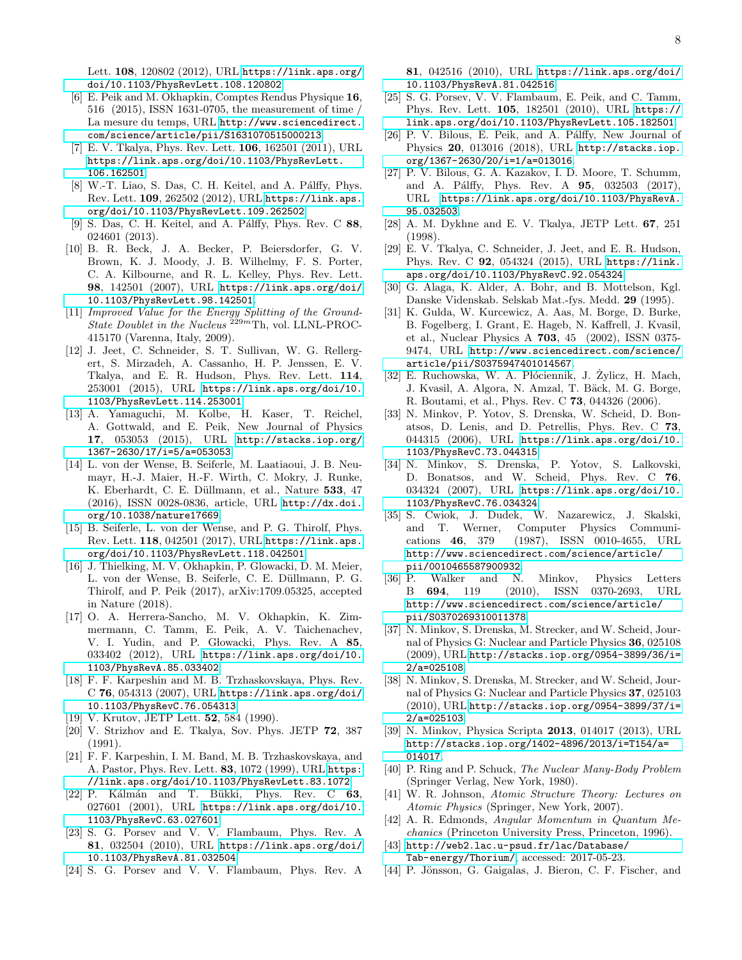Lett. 108, 120802 (2012), URL [https://link.aps.org/](https://link.aps.org/doi/10.1103/PhysRevLett.108.120802) [doi/10.1103/PhysRevLett.108.120802](https://link.aps.org/doi/10.1103/PhysRevLett.108.120802).

- <span id="page-7-0"></span>[6] E. Peik and M. Okhapkin, Comptes Rendus Physique 16, 516 (2015), ISSN 1631-0705, the measurement of time / La mesure du temps, URL [http://www.sciencedirect.](http://www.sciencedirect.com/science/article/pii/S1631070515000213) [com/science/article/pii/S1631070515000213](http://www.sciencedirect.com/science/article/pii/S1631070515000213).
- <span id="page-7-1"></span>[7] E. V. Tkalya, Phys. Rev. Lett. 106, 162501 (2011), URL [https://link.aps.org/doi/10.1103/PhysRevLett.](https://link.aps.org/doi/10.1103/PhysRevLett.106.162501) [106.162501](https://link.aps.org/doi/10.1103/PhysRevLett.106.162501).
- <span id="page-7-2"></span>[8] W.-T. Liao, S. Das, C. H. Keitel, and A. Pálffy, Phys. Rev. Lett. 109, 262502 (2012), URL [https://link.aps.](https://link.aps.org/doi/10.1103/PhysRevLett.109.262502) [org/doi/10.1103/PhysRevLett.109.262502](https://link.aps.org/doi/10.1103/PhysRevLett.109.262502).
- <span id="page-7-3"></span>[9] S. Das, C. H. Keitel, and A. Pálffy, Phys. Rev. C  $88$ , 024601 (2013).
- <span id="page-7-4"></span>[10] B. R. Beck, J. A. Becker, P. Beiersdorfer, G. V. Brown, K. J. Moody, J. B. Wilhelmy, F. S. Porter, C. A. Kilbourne, and R. L. Kelley, Phys. Rev. Lett. 98, 142501 (2007), URL [https://link.aps.org/doi/](https://link.aps.org/doi/10.1103/PhysRevLett.98.142501) [10.1103/PhysRevLett.98.142501](https://link.aps.org/doi/10.1103/PhysRevLett.98.142501).
- <span id="page-7-5"></span>[11] Improved Value for the Energy Splitting of the Ground-State Doublet in the Nucleus  $^{229m}$ Th, vol. LLNL-PROC-415170 (Varenna, Italy, 2009).
- <span id="page-7-6"></span>[12] J. Jeet, C. Schneider, S. T. Sullivan, W. G. Rellergert, S. Mirzadeh, A. Cassanho, H. P. Jenssen, E. V. Tkalya, and E. R. Hudson, Phys. Rev. Lett. 114, 253001 (2015), URL [https://link.aps.org/doi/10.](https://link.aps.org/doi/10.1103/PhysRevLett.114.253001) [1103/PhysRevLett.114.253001](https://link.aps.org/doi/10.1103/PhysRevLett.114.253001).
- <span id="page-7-7"></span>[13] A. Yamaguchi, M. Kolbe, H. Kaser, T. Reichel, A. Gottwald, and E. Peik, New Journal of Physics 17, 053053 (2015), URL [http://stacks.iop.org/](http://stacks.iop.org/1367-2630/17/i=5/a=053053) [1367-2630/17/i=5/a=053053](http://stacks.iop.org/1367-2630/17/i=5/a=053053).
- <span id="page-7-8"></span>[14] L. von der Wense, B. Seiferle, M. Laatiaoui, J. B. Neumayr, H.-J. Maier, H.-F. Wirth, C. Mokry, J. Runke, K. Eberhardt, C. E. Düllmann, et al., Nature 533, 47 (2016), ISSN 0028-0836, article, URL [http://dx.doi.](http://dx.doi.org/10.1038/nature17669) [org/10.1038/nature17669](http://dx.doi.org/10.1038/nature17669).
- <span id="page-7-9"></span>[15] B. Seiferle, L. von der Wense, and P. G. Thirolf, Phys. Rev. Lett. 118, 042501 (2017), URL [https://link.aps.](https://link.aps.org/doi/10.1103/PhysRevLett.118.042501) [org/doi/10.1103/PhysRevLett.118.042501](https://link.aps.org/doi/10.1103/PhysRevLett.118.042501).
- <span id="page-7-10"></span>[16] J. Thielking, M. V. Okhapkin, P. Glowacki, D. M. Meier, L. von der Wense, B. Seiferle, C. E. Düllmann, P. G. Thirolf, and P. Peik (2017), arXiv:1709.05325, accepted in Nature (2018).
- <span id="page-7-11"></span>[17] O. A. Herrera-Sancho, M. V. Okhapkin, K. Zimmermann, C. Tamm, E. Peik, A. V. Taichenachev, V. I. Yudin, and P. Głowacki, Phys. Rev. A 85, 033402 (2012), URL [https://link.aps.org/doi/10.](https://link.aps.org/doi/10.1103/PhysRevA.85.033402) [1103/PhysRevA.85.033402](https://link.aps.org/doi/10.1103/PhysRevA.85.033402).
- <span id="page-7-12"></span>[18] F. F. Karpeshin and M. B. Trzhaskovskaya, Phys. Rev. C 76, 054313 (2007), URL [https://link.aps.org/doi/](https://link.aps.org/doi/10.1103/PhysRevC.76.054313) [10.1103/PhysRevC.76.054313](https://link.aps.org/doi/10.1103/PhysRevC.76.054313).
- <span id="page-7-13"></span>[19] V. Krutov, JETP Lett. **52**, 584 (1990).
- [20] V. Strizhov and E. Tkalya, Sov. Phys. JETP 72, 387 (1991).
- [21] F. F. Karpeshin, I. M. Band, M. B. Trzhaskovskaya, and A. Pastor, Phys. Rev. Lett. 83, 1072 (1999), URL [https:](https://link.aps.org/doi/10.1103/PhysRevLett.83.1072) [//link.aps.org/doi/10.1103/PhysRevLett.83.1072](https://link.aps.org/doi/10.1103/PhysRevLett.83.1072).
- <span id="page-7-30"></span> $[22]$  P. Kálmán and T. Bükki, Phys. Rev. C 63, 027601 (2001), URL [https://link.aps.org/doi/10.](https://link.aps.org/doi/10.1103/PhysRevC.63.027601) [1103/PhysRevC.63.027601](https://link.aps.org/doi/10.1103/PhysRevC.63.027601).
- <span id="page-7-19"></span>[23] S. G. Porsev and V. V. Flambaum, Phys. Rev. A 81, 032504 (2010), URL [https://link.aps.org/doi/](https://link.aps.org/doi/10.1103/PhysRevA.81.032504) [10.1103/PhysRevA.81.032504](https://link.aps.org/doi/10.1103/PhysRevA.81.032504).
- <span id="page-7-31"></span>[24] S. G. Porsev and V. V. Flambaum, Phys. Rev. A

81, 042516 (2010), URL [https://link.aps.org/doi/](https://link.aps.org/doi/10.1103/PhysRevA.81.042516) [10.1103/PhysRevA.81.042516](https://link.aps.org/doi/10.1103/PhysRevA.81.042516).

- [25] S. G. Porsev, V. V. Flambaum, E. Peik, and C. Tamm, Phys. Rev. Lett. 105, 182501 (2010), URL [https://](https://link.aps.org/doi/10.1103/PhysRevLett.105.182501) [link.aps.org/doi/10.1103/PhysRevLett.105.182501](https://link.aps.org/doi/10.1103/PhysRevLett.105.182501).
- <span id="page-7-14"></span>[26] P. V. Bilous, E. Peik, and A. Pálffy, New Journal of Physics 20, 013016 (2018), URL [http://stacks.iop.](http://stacks.iop.org/1367-2630/20/i=1/a=013016) [org/1367-2630/20/i=1/a=013016](http://stacks.iop.org/1367-2630/20/i=1/a=013016).
- <span id="page-7-15"></span>[27] P. V. Bilous, G. A. Kazakov, I. D. Moore, T. Schumm, and A. Pálffy, Phys. Rev. A **95**, 032503 (2017), URL [https://link.aps.org/doi/10.1103/PhysRevA.](https://link.aps.org/doi/10.1103/PhysRevA.95.032503) [95.032503](https://link.aps.org/doi/10.1103/PhysRevA.95.032503).
- <span id="page-7-16"></span>[28] A. M. Dykhne and E. V. Tkalya, JETP Lett. 67, 251 (1998).
- <span id="page-7-17"></span>[29] E. V. Tkalya, C. Schneider, J. Jeet, and E. R. Hudson, Phys. Rev. C 92, 054324 (2015), URL [https://link.](https://link.aps.org/doi/10.1103/PhysRevC.92.054324) [aps.org/doi/10.1103/PhysRevC.92.054324](https://link.aps.org/doi/10.1103/PhysRevC.92.054324).
- <span id="page-7-18"></span>[30] G. Alaga, K. Alder, A. Bohr, and B. Mottelson, Kgl. Danske Videnskab. Selskab Mat.-fys. Medd. 29 (1995).
- <span id="page-7-20"></span>[31] K. Gulda, W. Kurcewicz, A. Aas, M. Borge, D. Burke, B. Fogelberg, I. Grant, E. Hageb, N. Kaffrell, J. Kvasil, et al., Nuclear Physics A 703, 45 (2002), ISSN 0375- 9474, URL [http://www.sciencedirect.com/science/](http://www.sciencedirect.com/science/article/pii/S0375947401014567) [article/pii/S0375947401014567](http://www.sciencedirect.com/science/article/pii/S0375947401014567).
- <span id="page-7-21"></span> $[32]$  E. Ruchowska, W. A. Płóciennik, J. Żylicz, H. Mach, J. Kvasil, A. Algora, N. Amzal, T. Bäck, M. G. Borge, R. Boutami, et al., Phys. Rev. C 73, 044326 (2006).
- <span id="page-7-22"></span>[33] N. Minkov, P. Yotov, S. Drenska, W. Scheid, D. Bonatsos, D. Lenis, and D. Petrellis, Phys. Rev. C 73, 044315 (2006), URL [https://link.aps.org/doi/10.](https://link.aps.org/doi/10.1103/PhysRevC.73.044315) [1103/PhysRevC.73.044315](https://link.aps.org/doi/10.1103/PhysRevC.73.044315).
- <span id="page-7-24"></span>[34] N. Minkov, S. Drenska, P. Yotov, S. Lalkovski, D. Bonatsos, and W. Scheid, Phys. Rev. C 76, 034324 (2007), URL [https://link.aps.org/doi/10.](https://link.aps.org/doi/10.1103/PhysRevC.76.034324) [1103/PhysRevC.76.034324](https://link.aps.org/doi/10.1103/PhysRevC.76.034324).
- <span id="page-7-25"></span>[35] S. Cwiok, J. Dudek, W. Nazarewicz, J. Skalski, and T. Werner, Computer Physics Communications 46, 379 (1987), ISSN 0010-4655, URL [http://www.sciencedirect.com/science/article/](http://www.sciencedirect.com/science/article/pii/0010465587900932) [pii/0010465587900932](http://www.sciencedirect.com/science/article/pii/0010465587900932).
- <span id="page-7-26"></span>[36] P. Walker and N. Minkov, Physics Letters B 694, 119 (2010), ISSN 0370-2693, URL [http://www.sciencedirect.com/science/article/](http://www.sciencedirect.com/science/article/pii/S0370269310011378) [pii/S0370269310011378](http://www.sciencedirect.com/science/article/pii/S0370269310011378).
- <span id="page-7-27"></span>[37] N. Minkov, S. Drenska, M. Strecker, and W. Scheid, Journal of Physics G: Nuclear and Particle Physics 36, 025108 (2009), URL [http://stacks.iop.org/0954-3899/36/i=](http://stacks.iop.org/0954-3899/36/i=2/a=025108) [2/a=025108](http://stacks.iop.org/0954-3899/36/i=2/a=025108).
- <span id="page-7-28"></span>[38] N. Minkov, S. Drenska, M. Strecker, and W. Scheid, Journal of Physics G: Nuclear and Particle Physics 37, 025103 (2010), URL [http://stacks.iop.org/0954-3899/37/i=](http://stacks.iop.org/0954-3899/37/i=2/a=025103) [2/a=025103](http://stacks.iop.org/0954-3899/37/i=2/a=025103).
- <span id="page-7-23"></span>[39] N. Minkov, Physica Scripta 2013, 014017 (2013), URL [http://stacks.iop.org/1402-4896/2013/i=T154/a=](http://stacks.iop.org/1402-4896/2013/i=T154/a=014017) [014017](http://stacks.iop.org/1402-4896/2013/i=T154/a=014017).
- <span id="page-7-29"></span>[40] P. Ring and P. Schuck, The Nuclear Many-Body Problem (Springer Verlag, New York, 1980).
- <span id="page-7-32"></span>[41] W. R. Johnson, Atomic Structure Theory: Lectures on Atomic Physics (Springer, New York, 2007).
- <span id="page-7-33"></span>[42] A. R. Edmonds, Angular Momentum in Quantum Mechanics (Princeton University Press, Princeton, 1996).
- <span id="page-7-34"></span>[43] [http://web2.lac.u-psud.fr/lac/Database/](http://web2.lac.u-psud.fr/lac/Database/Tab-energy/Thorium/) [Tab-energy/Thorium/](http://web2.lac.u-psud.fr/lac/Database/Tab-energy/Thorium/), accessed: 2017-05-23.
- <span id="page-7-35"></span>[44] P. Jönsson, G. Gaigalas, J. Bieron, C. F. Fischer, and